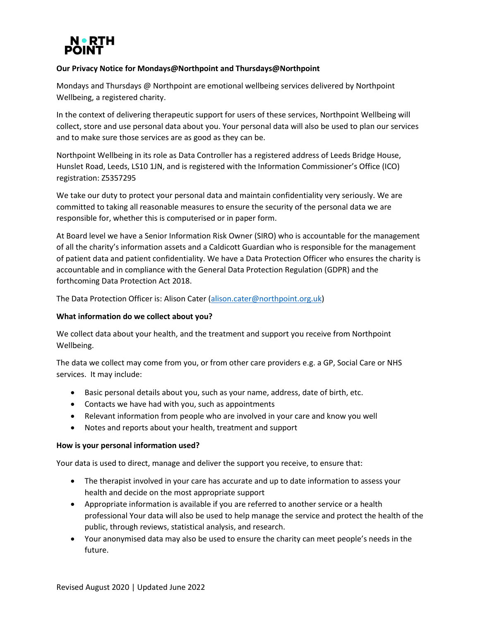# **Our Privacy Notice for Mondays@Northpoint and Thursdays@Northpoint**

Mondays and Thursdays @ Northpoint are emotional wellbeing services delivered by Northpoint Wellbeing, a registered charity.

In the context of delivering therapeutic support for users of these services, Northpoint Wellbeing will collect, store and use personal data about you. Your personal data will also be used to plan our services and to make sure those services are as good as they can be.

Northpoint Wellbeing in its role as Data Controller has a registered address of Leeds Bridge House, Hunslet Road, Leeds, LS10 1JN, and is registered with the Information Commissioner's Office (ICO) registration: Z5357295

We take our duty to protect your personal data and maintain confidentiality very seriously. We are committed to taking all reasonable measures to ensure the security of the personal data we are responsible for, whether this is computerised or in paper form.

At Board level we have a Senior Information Risk Owner (SIRO) who is accountable for the management of all the charity's information assets and a Caldicott Guardian who is responsible for the management of patient data and patient confidentiality. We have a Data Protection Officer who ensures the charity is accountable and in compliance with the General Data Protection Regulation (GDPR) and the forthcoming Data Protection Act 2018.

The Data Protection Officer is: Alison Cater [\(alison.cater@northpoint.org.uk\)](mailto:alison.cater@northpoint.org.uk)

## **What information do we collect about you?**

We collect data about your health, and the treatment and support you receive from Northpoint Wellbeing.

The data we collect may come from you, or from other care providers e.g. a GP, Social Care or NHS services. It may include:

- Basic personal details about you, such as your name, address, date of birth, etc.
- Contacts we have had with you, such as appointments
- Relevant information from people who are involved in your care and know you well
- Notes and reports about your health, treatment and support

## **How is your personal information used?**

Your data is used to direct, manage and deliver the support you receive, to ensure that:

- The therapist involved in your care has accurate and up to date information to assess your health and decide on the most appropriate support
- Appropriate information is available if you are referred to another service or a health professional Your data will also be used to help manage the service and protect the health of the public, through reviews, statistical analysis, and research.
- Your anonymised data may also be used to ensure the charity can meet people's needs in the future.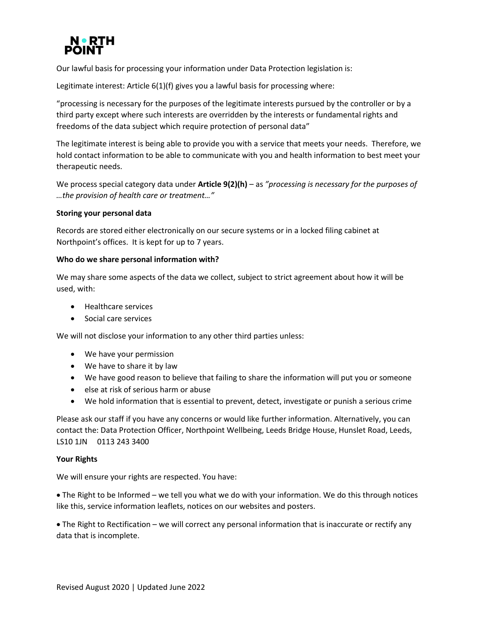

Our lawful basis for processing your information under Data Protection legislation is:

Legitimate interest: Article 6(1)(f) gives you a lawful basis for processing where:

"processing is necessary for the purposes of the legitimate interests pursued by the controller or by a third party except where such interests are overridden by the interests or fundamental rights and freedoms of the data subject which require protection of personal data"

The legitimate interest is being able to provide you with a service that meets your needs. Therefore, we hold contact information to be able to communicate with you and health information to best meet your therapeutic needs.

We process special category data under **Article 9(2)(h)** – as *"processing is necessary for the purposes of …the provision of health care or treatment…"*

## **Storing your personal data**

Records are stored either electronically on our secure systems or in a locked filing cabinet at Northpoint's offices. It is kept for up to 7 years.

## **Who do we share personal information with?**

We may share some aspects of the data we collect, subject to strict agreement about how it will be used, with:

- Healthcare services
- Social care services

We will not disclose your information to any other third parties unless:

- We have your permission
- We have to share it by law
- We have good reason to believe that failing to share the information will put you or someone
- else at risk of serious harm or abuse
- We hold information that is essential to prevent, detect, investigate or punish a serious crime

Please ask our staff if you have any concerns or would like further information. Alternatively, you can contact the: Data Protection Officer, Northpoint Wellbeing, Leeds Bridge House, Hunslet Road, Leeds, LS10 1JN 0113 243 3400

#### **Your Rights**

We will ensure your rights are respected. You have:

• The Right to be Informed – we tell you what we do with your information. We do this through notices like this, service information leaflets, notices on our websites and posters.

• The Right to Rectification – we will correct any personal information that is inaccurate or rectify any data that is incomplete.